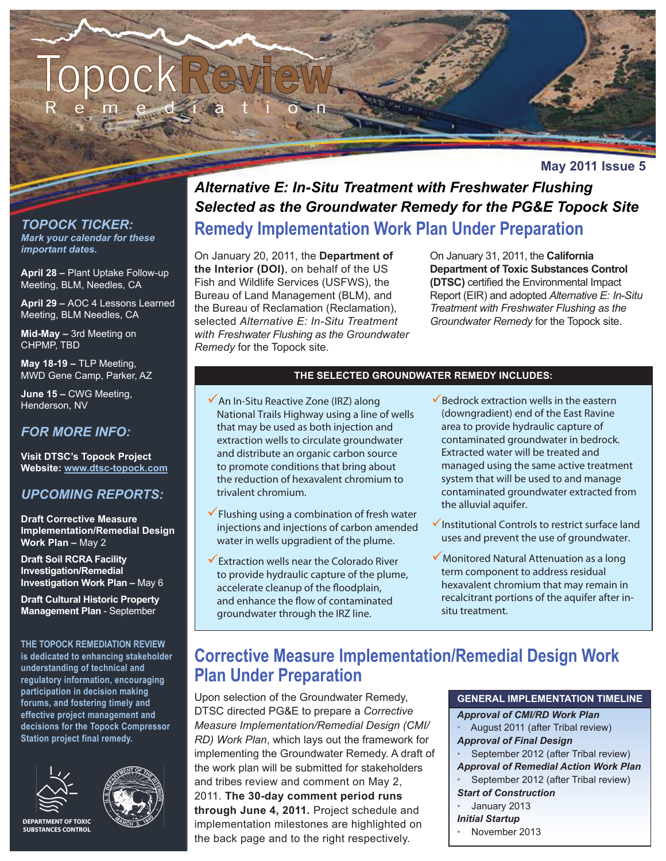

**May 2011 Issue 5**

*TOPOCK TICKER: Mark your calendar for these important dates.*

**April 28 –** Plant Uptake Follow-up Meeting, BLM, Needles, CA

**April 29 –** AOC 4 Lessons Learned Meeting, BLM Needles, CA

**Mid-May –** 3rd Meeting on CHPMP, TBD

**May 18-19 –** TLP Meeting, MWD Gene Camp, Parker, AZ

**June 15 –** CWG Meeting, Henderson, NV

#### *FOR MORE INFO:*

**Visit DTSC's Topock Project Website: www.dtsc-topock.com**

#### *UPCOMING REPORTS:*

**Draft Corrective Measure Implementation/Remedial Design Work Plan –** May 2

**Draft Soil RCRA Facility Investigation/Remedial Investigation Work Plan –** May 6

**Draft Cultural Historic Property Management Plan** - September

**THE TOPOCK REMEDIATION REVIEW is dedicated to enhancing stakeholder understanding of technical and regulatory information, encouraging participation in decision making forums, and fostering timely and effective project management and decisions for the Topock Compressor Station project final remedy.**





**DEPARTMENT OF TOXIC SUBSTANCES CONTROL**

### *Alternative E: In-Situ Treatment with Freshwater Flushing Selected as the Groundwater Remedy for the PG&E Topock Site* **Remedy Implementation Work Plan Under Preparation**

On January 20, 2011, the **Department of the Interior (DOI)**, on behalf of the US Fish and Wildlife Services (USFWS), the Bureau of Land Management (BLM), and the Bureau of Reclamation (Reclamation), selected *Alternative E: In-Situ Treatment with Freshwater Flushing as the Groundwater Remedy* for the Topock site.

On January 31, 2011, the **California Department of Toxic Substances Control (DTSC)** certified the Environmental Impact Report (EIR) and adopted *Alternative E: In-Situ Treatment with Freshwater Flushing as the Groundwater Remedy* for the Topock site.

#### **THE SELECTED GROUNDWATER REMEDY INCLUDES:**

- $\checkmark$  An In-Situ Reactive Zone (IRZ) along National Trails Highway using a line of wells that may be used as both injection and extraction wells to circulate groundwater and distribute an organic carbon source to promote conditions that bring about the reduction of hexavalent chromium to trivalent chromium.
- $\checkmark$  Flushing using a combination of fresh water injections and injections of carbon amended water in wells upgradient of the plume.
- Extraction wells near the Colorado River to provide hydraulic capture of the plume, accelerate cleanup of the floodplain, and enhance the flow of contaminated groundwater through the IRZ line.
- $\checkmark$  Bedrock extraction wells in the eastern (downgradient) end of the East Ravine area to provide hydraulic capture of contaminated groundwater in bedrock. Extracted water will be treated and managed using the same active treatment system that will be used to and manage contaminated groundwater extracted from the alluvial aquifer.
- $\checkmark$  Institutional Controls to restrict surface land uses and prevent the use of groundwater.
- $\checkmark$  Monitored Natural Attenuation as a long term component to address residual hexavalent chromium that may remain in recalcitrant portions of the aquifer after insitu treatment.

# **Corrective Measure Implementation/Remedial Design Work Plan Under Preparation**

Upon selection of the Groundwater Remedy, DTSC directed PG&E to prepare a *Corrective Measure Implementation/Remedial Design (CMI/ RD) Work Plan*, which lays out the framework for implementing the Groundwater Remedy. A draft of the work plan will be submitted for stakeholders and tribes review and comment on May 2, 2011. **The 30-day comment period runs through June 4, 2011.** Project schedule and implementation milestones are highlighted on the back page and to the right respectively.

# **GENERAL IMPLEMENTATION TIMELINE**

*Approval of CMI/RD Work Plan* • August 2011 (after Tribal review) *Approval of Final Design* • September 2012 (after Tribal review) *Approval of Remedial Action Work Plan* • September 2012 (after Tribal review) *Start of Construction* • January 2013 *Initial Startup* • November 2013